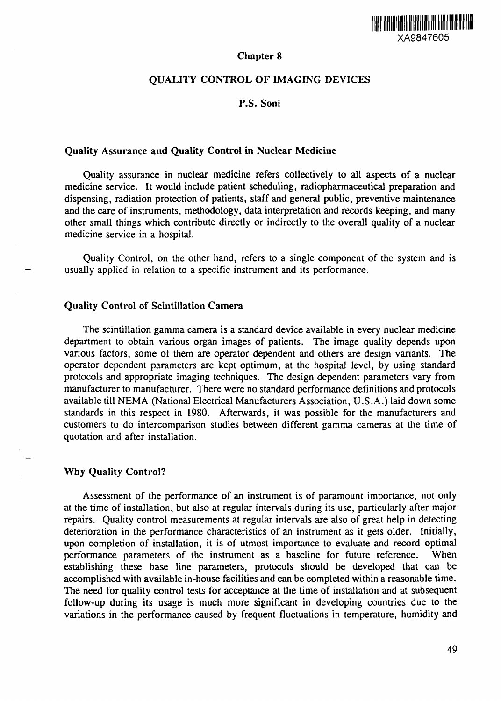

# Chapter 8

# QUALITY CONTROL OF IMAGING DEVICES

# P.S. Soni

# Quality Assurance and Quality Control in Nuclear Medicine

Quality assurance in nuclear medicine refers collectively to all aspects of a nuclear medicine service. It would include patient scheduling, radiopharmaceutical preparation and dispensing, radiation protection of patients, staff and general public, preventive maintenance and the care of instruments, methodology, data interpretation and records keeping, and many other small things which contribute directly or indirectly to the overall quality of a nuclear medicine service in a hospital.

Quality Control, on the other hand, refers to a single component of the system and is usually applied in relation to a specific instrument and its performance.

# Quality Control of Scintillation Camera

The scintillation gamma camera is a standard device available in every nuclear medicine department to obtain various organ images of patients. The image quality depends upon various factors, some of them are operator dependent and others are design variants. The operator dependent parameters are kept optimum, at the hospital level, by using standard protocols and appropriate imaging techniques. The design dependent parameters vary from manufacturer to manufacturer. There were no standard performance definitions and protocols available till NEMA (National Electrical Manufacturers Association, U.S.A.) laid down some standards in this respect in 1980. Afterwards, it was possible for the manufacturers and customers to do intercomparison studies between different gamma cameras at the time of quotation and after installation.

# Why Quality Control?

Assessment of the performance of an instrument is of paramount importance, not only at the time of installation, but also at regular intervals during its use, particularly after major repairs. Quality control measurements at regular intervals are also of great help in detecting deterioration in the performance characteristics of an instrument as it gets older. Initially, upon completion of installation, it is of utmost importance to evaluate and record optimal performance parameters of the instrument as a baseline for future reference. When establishing these base line parameters, protocols should be developed that can be accomplished with available in-house facilities and can be completed within a reasonable time. The need for quality control tests for acceptance at the time of installation and at subsequent follow-up during its usage is much more significant in developing countries due to the variations in the performance caused by frequent fluctuations in temperature, humidity and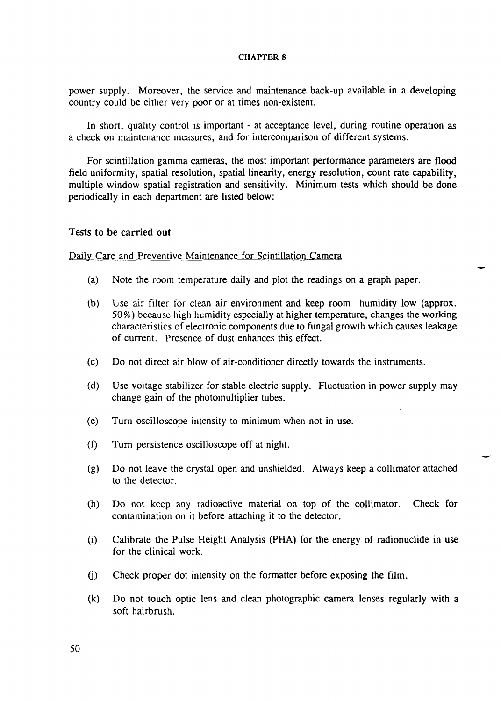power supply. Moreover, the service and maintenance back-up available in a developing country could be either very poor or at times non-existent.

In short, quality control is important - at acceptance level, during routine operation as a check on maintenance measures, and for intercomparison of different systems.

For scintillation gamma cameras, the most important performance parameters are flood field uniformity, spatial resolution, spatial linearity, energy resolution, count rate capability, multiple window spatial registration and sensitivity. Minimum tests which should be done periodically in each department are listed below:

### Tests to be carried out

### Daily Care and Preventive Maintenance for Scintillation Camera

- (a) Note the room temperature daily and plot the readings on a graph paper.
- (b) Use air filter for clean air environment and keep room humidity low (approx. 50%) because high humidity especially at higher temperature, changes the working characteristics of electronic components due to fungal growth which causes leakage of current. Presence of dust enhances this effect.
- (c) Do not direct air blow of air-conditioner directly towards the instruments.
- (d) Use voltage stabilizer for stable electric supply. Fluctuation in power supply may change gain of the photomultiplier tubes.
- (e) Turn oscilloscope intensity to minimum when not in use.
- (f) Turn persistence oscilloscope off at night.
- (g) Do not leave the crystal open and unshielded. Always keep a collimator attached to the detector.
- (h) Do not keep any radioactive material on top of the collimator. Check for contamination on it before attaching it to the detector.
- (i) Calibrate the Pulse Height Analysis (PHA) for the energy of radionuclide in use for the clinical work.
- (j) Check proper dot intensity on the formatter before exposing the film.
- (k) Do not touch optic lens and clean photographic camera lenses regularly with a soft hairbrush.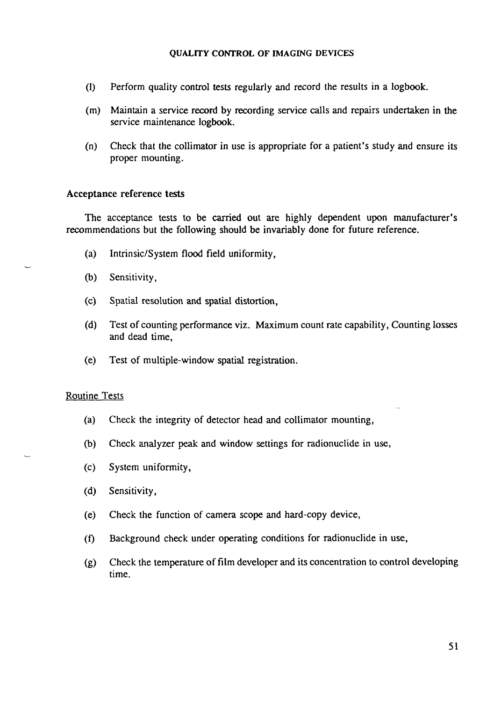- (1) Perform quality control tests regularly and record the results in a logbook.
- (m) Maintain a service record by recording service calls and repairs undertaken in the service maintenance logbook.
- (n) Check that the collimator in use is appropriate for a patient's study and ensure its proper mounting.

# Acceptance reference tests

The acceptance tests to be carried out are highly dependent upon manufacturer's recommendations but the following should be invariably done for future reference.

- (a) Intrinsic/System flood field uniformity,
- (b) Sensitivity,
- (c) Spatial resolution and spatial distortion,
- (d) Test of counting performance viz. Maximum count rate capability, Counting losses and dead time,
- (e) Test of multiple-window spatial registration.

# Routine Tests

- (a) Check the integrity of detector head and collimator mounting,
- (b) Check analyzer peak and window settings for radionuclide in use,
- (c) System uniformity,
- (d) Sensitivity,
- (e) Check the function of camera scope and hard-copy device,
- (f) Background check under operating conditions for radionuclide in use,
- (g) Check the temperature of film developer and its concentration to control developing time.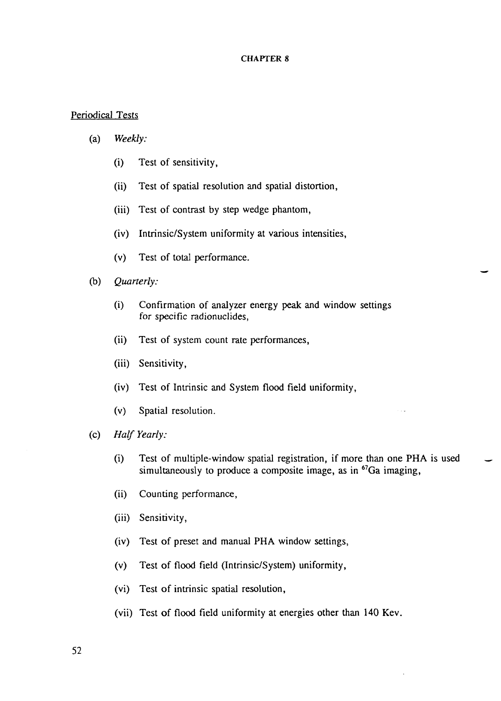# Periodical Tests

# (a) *Weekly:*

- (i) Test of sensitivity,
- (ii) Test of spatial resolution and spatial distortion,
- (iii) Test of contrast by step wedge phantom,
- (iv) Intrinsic/System uniformity at various intensities,
- (v) Test of total performance.
- (b) *Quarterly:*
	- (i) Confirmation of analyzer energy peak and window settings for specific radionuclides,
	- (ii) Test of system count rate performances,
	- (iii) Sensitivity,
	- (iv) Test of Intrinsic and System flood field uniformity,
	- (v) Spatial resolution.
- (c) *Half Yearly:*
	- (i) Test of multiple-window spatial registration, if more than one PHA is used simultaneously to produce a composite image, as in <sup>67</sup>Ga imaging,
	- (ii) Counting performance,
	- (iii) Sensitivity,
	- (iv) Test of preset and manual PHA window settings,
	- (v) Test of flood field (Intrinsic/System) uniformity,
	- (vi) Test of intrinsic spatial resolution,
	- (vii) Test of flood field uniformity at energies other than 140 Kev.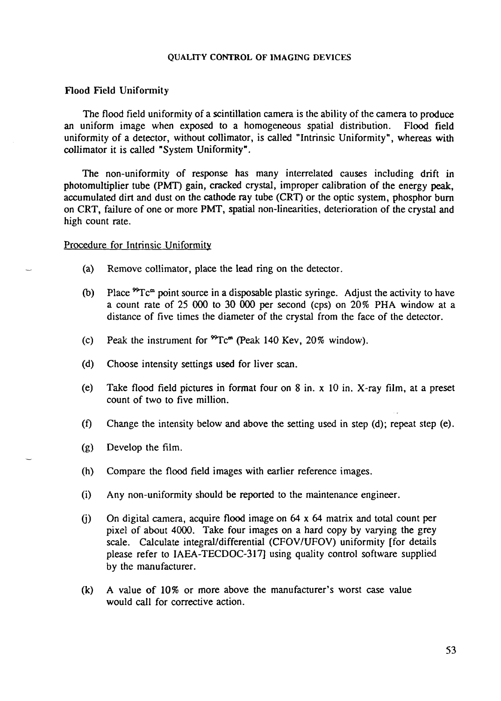# Flood Field Uniformity

The flood field uniformity of a scintillation camera is the ability of the camera to produce an uniform image when exposed to a homogeneous spatial distribution. Flood field uniformity of a detector, without collimator, is called "Intrinsic Uniformity", whereas with collimator it is called "System Uniformity".

The non-uniformity of response has many interrelated causes including drift in photomultiplier tube (PMT) gain, cracked crystal, improper calibration of the energy peak, accumulated dirt and dust on the cathode ray tube (CRT) or the optic system, phosphor burn on CRT, failure of one or more PMT, spatial non-linearities, deterioration of the crystal and high count rate.

# Procedure for Intrinsic Uniformity

- (a) Remove collimator, place the lead ring on the detector.
- (b) Place  ${}^{99}Tc^m$  point source in a disposable plastic syringe. Adjust the activity to have a count rate of 25 000 to 30 000 per second (cps) on 20% PHA window at a distance of five times the diameter of the crystal from the face of the detector.
- (c) Peak the instrument for  ${}^{99}$ Tc<sup>m</sup> (Peak 140 Kev, 20% window).
- (d) Choose intensity settings used for liver scan.
- (e) Take flood field pictures in format four on 8 in. x 10 in. X-ray film, at a preset count of two to five million.
- (f) Change the intensity below and above the setting used in step (d); repeat step (e).
- (g) Develop the film.
- (h) Compare the flood field images with earlier reference images.
- (i) Any non-uniformity should be reported to the maintenance engineer.
- (j) On digital camera, acquire flood image on 64 x 64 matrix and total count per pixel of about 4000. Take four images on a hard copy by varying the grey scale. Calculate integral/differential (CFOV/UFOV) uniformity [for details please refer to IAEA-TECDOC-317] using quality control software supplied by the manufacturer.
- (k) A value of 10% or more above the manufacturer's worst case value would call for corrective action.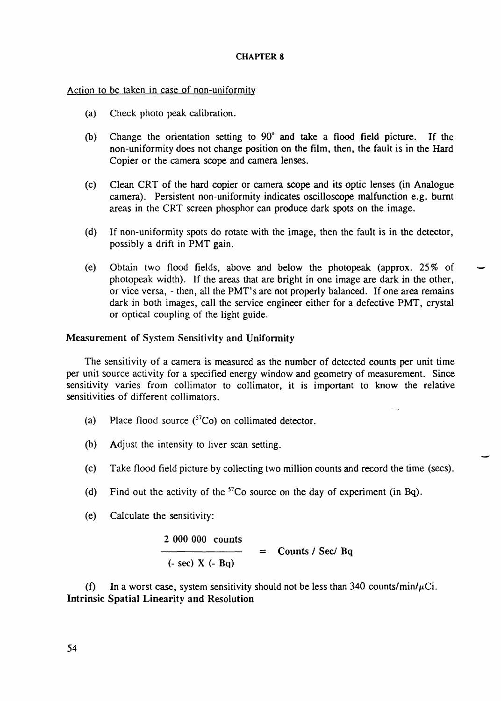# Action to be taken in case of non-uniformity

- (a) Check photo peak calibration.
- (b) Change the orientation setting to 90° and take a flood field picture. If the non-uniformity does not change position on the film, then, the fault is in the Hard Copier or the camera scope and camera lenses.
- (c) Clean CRT of the hard copier or camera scope and its optic lenses (in Analogue camera). Persistent non-uniformity indicates oscilloscope malfunction e.g. burnt areas in the CRT screen phosphor can produce dark spots on the image.
- (d) If non-uniformity spots do rotate with the image, then the fault is in the detector, possibly a drift in PMT gain.
- (e) Obtain two flood fields, above and below the photopeak (approx. 25% of photopeak width). If the areas that are bright in one image are dark in the other, or vice versa, - then, all the PMT's are not properly balanced. If one area remains dark in both images, call the service engineer either for a defective PMT, crystal or optical coupling of the light guide.

# Measurement of System Sensitivity and Uniformity

The sensitivity of a camera is measured as the number of detected counts per unit time per unit source activity for a specified energy window and geometry of measurement. Since sensitivity varies from collimator to collimator, it is important to know the relative sensitivities of different collimators.

- (a) Place flood source  $({}^{57}Co)$  on collimated detector.
- (b) Adjust the intensity to liver scan setting.
- (c) Take flood field picture by collecting two million counts and record the time (sees).
- (d) Find out the activity of the  ${}^{57}Co$  source on the day of experiment (in Bq).
- (e) Calculate the sensitivity:

2 000 000 counts  $(- \sec) X (- Bq)$  $=$  Counts / Sec/ Bq

(f) In a worst case, system sensitivity should not be less than 340 counts/min/ $\mu$ Ci. Intrinsic Spatial Linearity and Resolution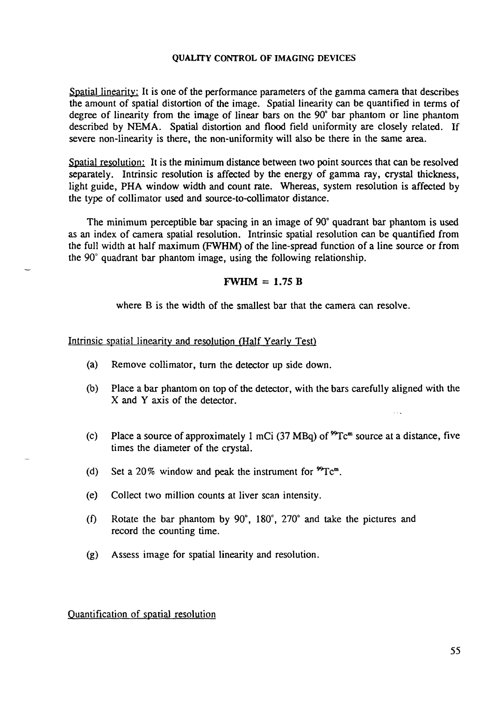Spatial linearity: It is one of the performance parameters of the gamma camera that describes the amount of spatial distortion of the image. Spatial linearity can be quantified in terms of degree of linearity from the image of linear bars on the 90° bar phantom or line phantom described by NEMA. Spatial distortion and flood field uniformity are closely related. If severe non-linearity is there, the non-uniformity will also be there in the same area.

Spatial resolution: It is the minimum distance between two point sources that can be resolved separately. Intrinsic resolution is affected by the energy of gamma ray, crystal thickness, light guide, PHA window width and count rate. Whereas, system resolution is affected by the type of collimator used and source-to-collimator distance.

The minimum perceptible bar spacing in an image of 90° quadrant bar phantom is used as an index of camera spatial resolution. Intrinsic spatial resolution can be quantified from the full width at half maximum (FWHM) of the line-spread function of a line source or from the 90° quadrant bar phantom image, using the following relationship.

# $FWHM = 1.75 B$

where B is the width of the smallest bar that the camera can resolve.

### Intrinsic spatial linearity and resolution (Half Yearly Test)

- (a) Remove collimator, turn the detector up side down.
- (b) Place a bar phantom on top of the detector, with the bars carefully aligned with the X and Y axis of the detector.
- (c) Place a source of approximately 1 mCi (37 MBq) of  ${}^{99}Tc<sup>m</sup>$  source at a distance, five times the diameter of the crystal.
- (d) Set a 20% window and peak the instrument for  ${}^{99}Tc^m$ .
- (e) Collect two million counts at liver scan intensity.
- (f) Rotate the bar phantom by 90°, 180°, 270° and take the pictures and record the counting time.
- (g) Assess image for spatial linearity and resolution.

Quantification of spatial resolution

 $\sim 10$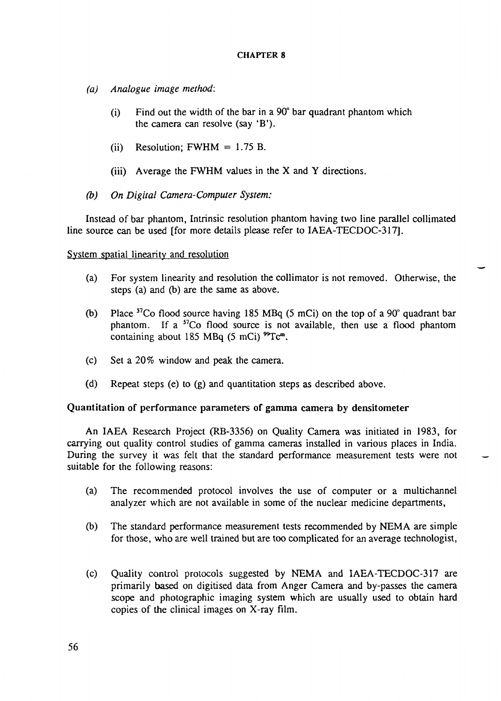- *(a) Analogue image method:*
	- (i) Find out the width of the bar in a 90° bar quadrant phantom which the camera can resolve (say 'B').
	- (ii) Resolution; FWHM  $= 1.75$  B.
	- (iii) Average the FWHM values in the  $X$  and  $Y$  directions.
- *(b) On Digital Camera-Computer System:*

Instead of bar phantom, Intrinsic resolution phantom having two line parallel collimated line source can be used [for more details please refer to IAEA-TECDOC-317].

# System spatial linearity and resolution

- (a) For system linearity and resolution the collimator is not removed. Otherwise, the steps (a) and (b) are the same as above.
- (b) Place  ${}^{57}$ Co flood source having 185 MBq (5 mCi) on the top of a 90 $^{\circ}$  quadrant bar phantom. If a  ${}^{57}Co$  flood source is not available, then use a flood phantom containing about 185 MBq  $(5 \text{ mCi})$  <sup>99</sup>Tc<sup>m</sup>.
- (c) Set a 20% window and peak the camera.
- (d) Repeat steps (e) to (g) and quantitation steps as described above.

# Quantitation of performance parameters of gamma camera by densitometer

An IAEA Research Project (RB-3356) on Quality Camera was initiated in 1983, for carrying out quality control studies of gamma cameras installed in various places in India. During the survey it was felt that the standard performance measurement tests were not suitable for the following reasons:

- (a) The recommended protocol involves the use of computer or a multichannel analyzer which are not available in some of the nuclear medicine departments,
- (b) The standard performance measurement tests recommended by NEMA are simple for those, who are well trained but are too complicated for an average technologist,
- (c) Quality control protocols suggested by NEMA and IAEA-TECDOC-317 are primarily based on digitised data from Anger Camera and by-passes the camera scope and photographic imaging system which are usually used to obtain hard copies of the clinical images on X-ray film.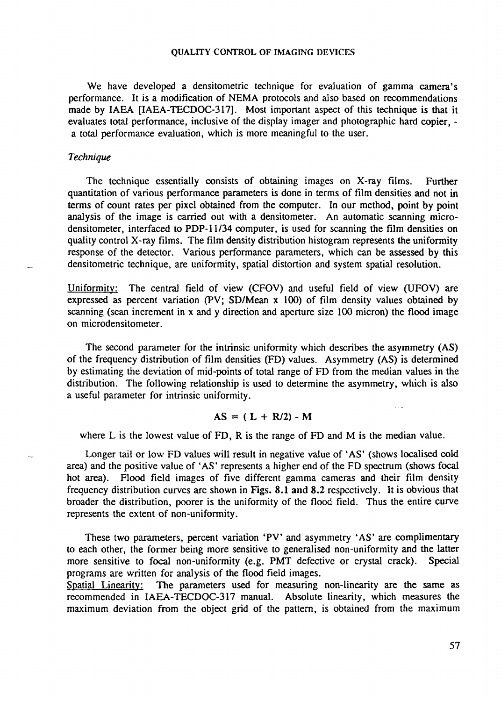We have developed a densitometric technique for evaluation of gamma camera's performance. It is a modification of NEMA protocols and also based on recommendations made by IAEA [IAEA-TECDOC-317]. Most important aspect of this technique is that it evaluates total performance, inclusive of the display imager and photographic hard copier, a total performance evaluation, which is more meaningful to the user.

#### *Technique*

The technique essentially consists of obtaining images on X-ray films. Further quantitation of various performance parameters is done in terms of film densities and not in terms of count rates per pixel obtained from the computer. In our method, point by point analysis of the image is carried out with a densitometer. An automatic scanning microdensitometer, interfaced to PDP-11/34 computer, is used for scanning the film densities on quality control X-ray films. The film density distribution histogram represents the uniformity response of the detector. Various performance parameters, which can be assessed by this densitometric technique, are uniformity, spatial distortion and system spatial resolution.

Uniformity: The central field of view (CFOV) and useful field of view (UFOV) are expressed as percent variation (PV; SD/Mean x 100) of film density values obtained by scanning (scan increment in x and y direction and aperture size 100 micron) the flood image on microdensitometer.

The second parameter for the intrinsic uniformity which describes the asymmetry (AS) of the frequency distribution of film densities (FD) values. Asymmetry (AS) is determined by estimating the deviation of mid-points of total range of FD from the median values in the distribution. The following relationship is used to determine the asymmetry, which is also a useful parameter for intrinsic uniformity.

# $AS = (L + R/2) - M$

where L is the lowest value of FD, R is the range of FD and M is the median value.

Longer tail or low FD values will result in negative value of 'AS' (shows localised cold area) and the positive value of 'AS' represents a higher end of the FD spectrum (shows focal hot area). Flood field images of five different gamma cameras and their film density frequency distribution curves are shown in Figs. 8.1 and 8.2 respectively. It is obvious that broader the distribution, poorer is the uniformity of the flood field. Thus the entire curve represents the extent of non-uniformity.

These two parameters, percent variation 'PV' and asymmetry 'AS' are complimentary to each other, the former being more sensitive to generalised non-uniformity and the latter more sensitive to focal non-uniformity (e.g. PMT defective or crystal crack). Special programs are written for analysis of the flood field images.

Spatial Linearity: The parameters used for measuring non-linearity are the same as recommended in IAEA-TECDOC-317 manual. Absolute linearity, which measures the maximum deviation from the object grid of the pattern, is obtained from the maximum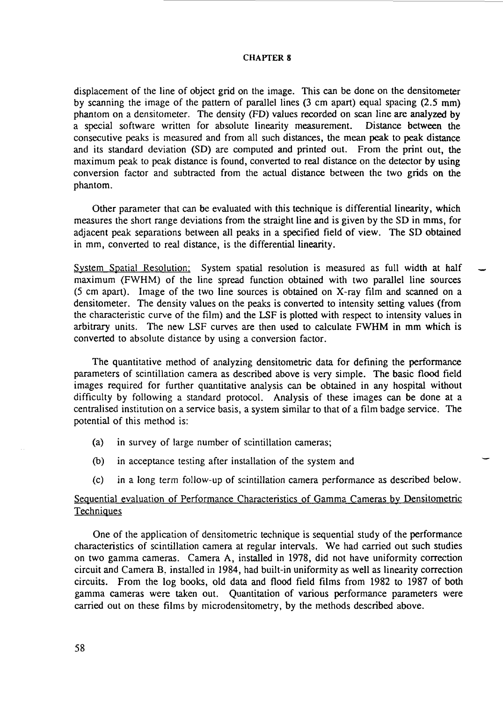displacement of the line of object grid on the image. This can be done on the densitometer by scanning the image of the pattern of parallel lines (3 cm apart) equal spacing (2.5 mm) phantom on a densitometer. The density (FD) values recorded on scan line are analyzed by a special software written for absolute linearity measurement. Distance between the consecutive peaks is measured and from all such distances, the mean peak to peak distance and its standard deviation (SD) are computed and printed out. From the print out, the maximum peak to peak distance is found, converted to real distance on the detector by using conversion factor and subtracted from the actual distance between the two grids on the phantom.

Other parameter that can be evaluated with this technique is differential linearity, which measures the short range deviations from the straight line and is given by the SD in mms, for adjacent peak separations between all peaks in a specified field of view. The SD obtained in mm, converted to real distance, is the differential linearity.

System Spatial Resolution: System spatial resolution is measured as full width at half maximum (FWHM) of the line spread function obtained with two parallel line sources (5 cm apart). Image of the two line sources is obtained on X-ray film and scanned on a densitometer. The density values on the peaks is converted to intensity setting values (from the characteristic curve of the film) and the LSF is plotted with respect to intensity values in arbitrary units. The new LSF curves are then used to calculate FWHM in mm which is converted to absolute distance by using a conversion factor.

The quantitative method of analyzing densitometric data for defining the performance parameters of scintillation camera as described above is very simple. The basic flood field images required for further quantitative analysis can be obtained in any hospital without difficulty by following a standard protocol. Analysis of these images can be done at a centralised institution on a service basis, a system similar to that of a film badge service. The potential of this method is:

- (a) in survey of large number of scintillation cameras;
- (b) in acceptance testing after installation of the system and
- (c) in a long term follow-up of scintillation camera performance as described below.

# Sequential evaluation of Performance Characteristics of Gamma Cameras by Densitometric **Techniques**

One of the application of densitometric technique is sequential study of the performance characteristics of scintillation camera at regular intervals. We had carried out such studies on two gamma cameras. Camera A, installed in 1978, did not have uniformity correction circuit and Camera B. installed in 1984, had built-in uniformity as well as linearity correction circuits. From the log books, old data and flood field films from 1982 to 1987 of both gamma cameras were taken out. Quantitation of various performance parameters were carried out on these films by microdensitometry, by the methods described above.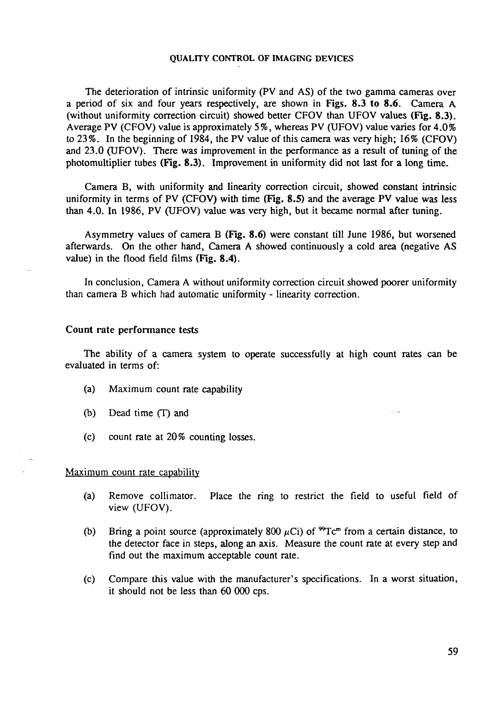The deterioration of intrinsic uniformity (PV and AS) of the two gamma cameras over a period of six and four years respectively, are shown in Figs. 8.3 to 8.6. Camera A (without uniformity correction circuit) showed better CFOV than UFOV values (Fig. 8.3). Average PV (CFOV) value is approximately 5%, whereas PV (UFOV) value varies for 4.0% to 23%. In the beginning of 1984, the PV value of this camera was very high; 16% (CFOV) and 23.0 (UFOV). There was improvement in the performance as a result of tuning of the photomultiplier tubes (Fig. 8.3). Improvement in uniformity did not last for a long time.

Camera B, with uniformity and linearity correction circuit, showed constant intrinsic uniformity in terms of PV (CFOV) with time (Fig. 8.5) and the average PV value was less than 4.0. In 1986, PV (UFOV) value was very high, but it became normal after tuning.

Asymmetry values of camera B **(Fig.** 8.6) were constant till June 1986, but worsened afterwards. On the other hand, Camera A showed continuously a cold area (negative AS value) in the flood field films **(Fig.** 8.4).

In conclusion, Camera A without uniformity correction circuit showed poorer uniformity than camera B which had automatic uniformity - linearity correction.

# Count rate performance tests

The ability of a camera system to operate successfully at high count rates can be evaluated in terms of:

- (a) Maximum count rate capability
- (b) Dead time (T) and
- (c) count rate at 20% counting losses.

### Maximum count rate capability

- (a) Remove collimator. Place the ring to restrict the field to useful field of view (UFOV).
- (b) Bring a point source (approximately 800  $\mu$ Ci) of <sup>99</sup>Tc<sup>m</sup> from a certain distance, to the detector face in steps, along an axis. Measure the count rate at every step and find out the maximum acceptable count rate.
- (c) Compare this value with the manufacturer's specifications. In a worst situation, it should not be less than 60 000 cps.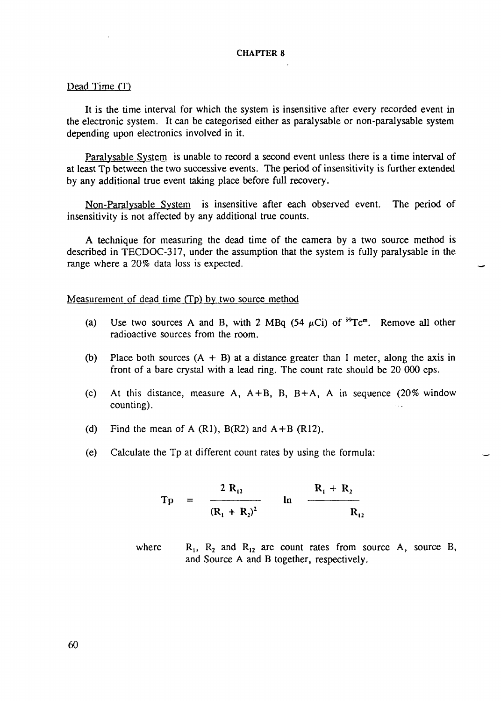# Dead Time (T)

It is the time interval for which the system is insensitive after every recorded event in the electronic system. It can be categorised either as paralysable or non-paralysable system depending upon electronics involved in it.

Paralysable System is unable to record a second event unless there is a time interval of at least Tp between the two successive events. The period of insensitivity is further extended by any additional true event taking place before full recovery.

Non-Paralysable System is insensitive after each observed event. The period of insensitivity is not affected by any additional true counts.

A technique for measuring the dead time of the camera by a two source method is described in TECDOC-317, under the assumption that the system is fully paralysable in the range where a 20% data loss is expected.

Measurement of dead time *CTp)* by two source method

- (a) Use two sources A and B, with 2 MBq (54  $\mu$ Ci) of  ${}^{99}Tc^m$ . Remove all other radioactive sources from the room.
- (b) Place both sources  $(A + B)$  at a distance greater than 1 meter, along the axis in front of a bare crystal with a lead ring. The count rate should be 20 000 cps.
- (c) At this distance, measure A,  $A + B$ , B,  $B + A$ , A in sequence (20% window counting).
- (d) Find the mean of A  $(R1)$ ,  $B(R2)$  and  $A+B$   $(R12)$ .
- (e) Calculate the Tp at different count rates by using the formula:

$$
Tp = \frac{2 R_{12}}{(R_1 + R_2)^2} \text{ ln } \frac{R_1 + R_2}{R_{12}}
$$

where  $R_1$ ,  $R_2$  and  $R_{12}$  are count rates from source A, source B, and Source A and B together, respectively.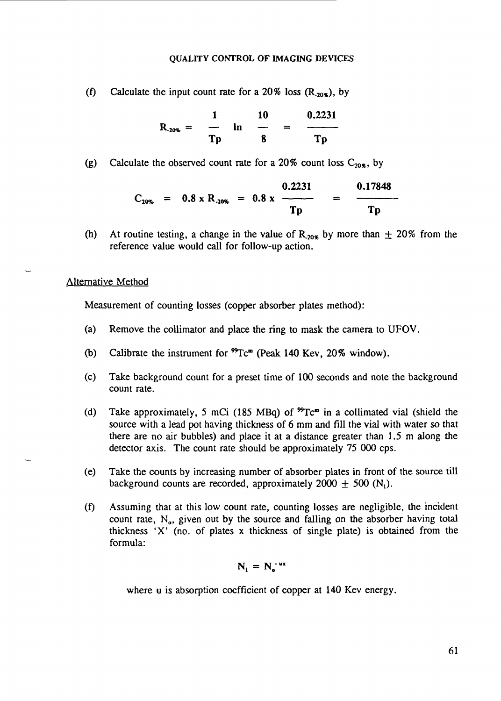(f) Calculate the input count rate for a 20% loss  $(R_{.20\%})$ , by

$$
R_{.20\%} = \frac{1}{Tp} \quad \ln \quad \frac{10}{B} \quad = \quad \frac{0.2231}{Tp}
$$

(g) Calculate the observed count rate for a 20% count loss  $C_{20\%}$ , by

$$
C_{10\%} = 0.8 \times R_{.10\%} = 0.8 \times \frac{0.2231}{Tp} = \frac{0.17848}{Tp}
$$

(h) At routine testing, a change in the value of  $R_{20\%}$  by more than  $\pm$  20% from the reference value would call for follow-up action.

### Alternative Method

Measurement of counting losses (copper absorber plates method):

- (a) Remove the collimator and place the ring to mask the camera to UFOV.
- (b) Calibrate the instrument for  $^{99}$ Tc<sup>m</sup> (Peak 140 Kev, 20% window).
- (c) Take background count for a preset time of 100 seconds and note the background count rate.
- (d) Take approximately, 5 mCi (185 MBq) of  ${}^{99}Te^{m}$  in a collimated vial (shield the source with a lead pot having thickness of 6 mm and fill the vial with water so that there are no air bubbles) and place it at a distance greater than 1.5 m along the detector axis. The count rate should be approximately 75 000 cps.
- (e) Take the counts by increasing number of absorber plates in front of the source till background counts are recorded, approximately 2000  $\pm$  500 (N<sub>1</sub>).
- (f) Assuming that at this low count rate, counting losses are negligible, the incident count rate,  $N_o$ , given out by the source and falling on the absorber having total thickness 'X' (no. of plates x thickness of single plate) is obtained from the formula:

$$
N_1 = N_0^{-ux}
$$

where u is absorption coefficient of copper at 140 Kev energy.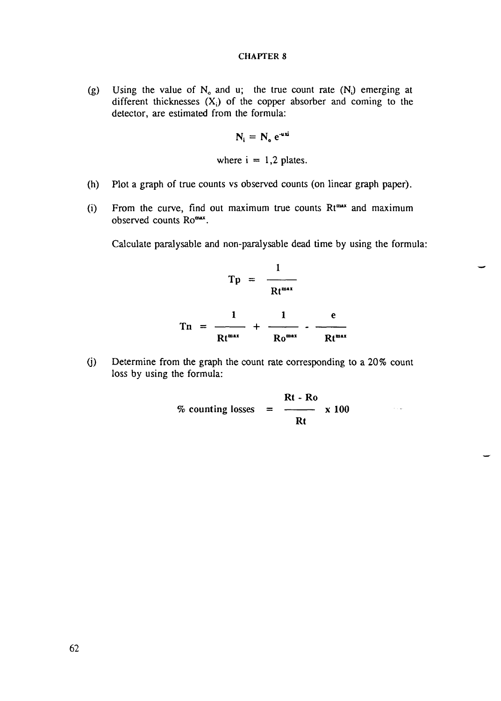(g) Using the value of  $N_0$  and u; the true count rate  $(N_i)$  emerging at different thicknesses  $(X_i)$  of the copper absorber and coming to the detector, are estimated from the formula:

$$
N_i = N_o e^{-u\,xi}
$$

where  $i = 1,2$  plates.

- (h) Plot a graph of true counts vs observed counts (on linear graph paper).
- (i) From the curve, find out maximum true counts  $Rt^{max}$  and maximum observed counts Romax.

Calculate paralysable and non-paralysable dead time by using the formula:

$$
Tp = \frac{1}{Rt^{\max}}
$$
  

$$
Tn = \frac{1}{Rt^{\max}} + \frac{1}{R0^{\max}} - \frac{e}{Rt^{\max}}
$$

(j) Determine from the graph the count rate corresponding to a 20% count loss by using the formula:

$$
\% \text{ counting losses} = \frac{Rt - Ro}{Rt} \times 100
$$

 $\sim 10$   $\mu$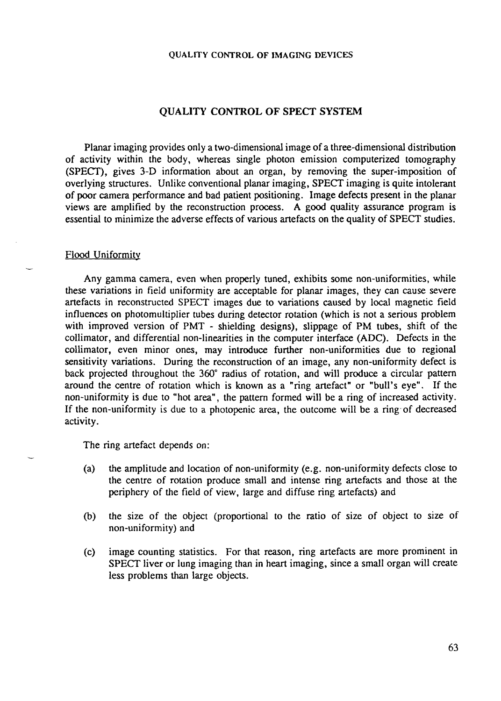# **QUALITY CONTROL OF SPECT SYSTEM**

Planar imaging provides only a two-dimensional image of a three-dimensional distribution of activity within the body, whereas single photon emission computerized tomography (SPECT), gives 3-D information about an organ, by removing the super-imposition of overlying structures. Unlike conventional planar imaging, SPECT imaging is quite intolerant of poor camera performance and bad patient positioning. Image defects present in the planar views are amplified by the reconstruction process. A good quality assurance program is essential to minimize the adverse effects of various artefacts on the quality of SPECT studies.

#### Flood Uniformity

Any gamma camera, even when properly tuned, exhibits some non-uniformities, while these variations in field uniformity are acceptable for planar images, they can cause severe artefacts in reconstructed SPECT images due to variations caused by local magnetic field influences on photomultiplier tubes during detector rotation (which is not a serious problem with improved version of PMT - shielding designs), slippage of PM tubes, shift of the collimator, and differential non-linearities in the computer interface (ADC). Defects in the collimator, even minor ones, may introduce further non-uniformities due to regional sensitivity variations. During the reconstruction of an image, any non-uniformity defect is back projected throughout the 360° radius of rotation, and will produce a circular pattern around the centre of rotation which is known as a "ring artefact" or "bull's eye". If the non-uniformity is due to "hot area", the pattern formed will be a ring of increased activity. If the non-uniformity is due to a photopenic area, the outcome will be a ring of decreased activity.

The ring artefact depends on:

- (a) the amplitude and location of non-uniformity (e.g. non-uniformity defects close to the centre of rotation produce small and intense ring artefacts and those at the periphery of the field of view, large and diffuse ring artefacts) and
- (b) the size of the object (proportional to the ratio of size of object to size of non-uniformity) and
- (c) image counting statistics. For that reason, ring artefacts are more prominent in SPECT liver or lung imaging than in heart imaging, since a small organ will create less problems than large objects.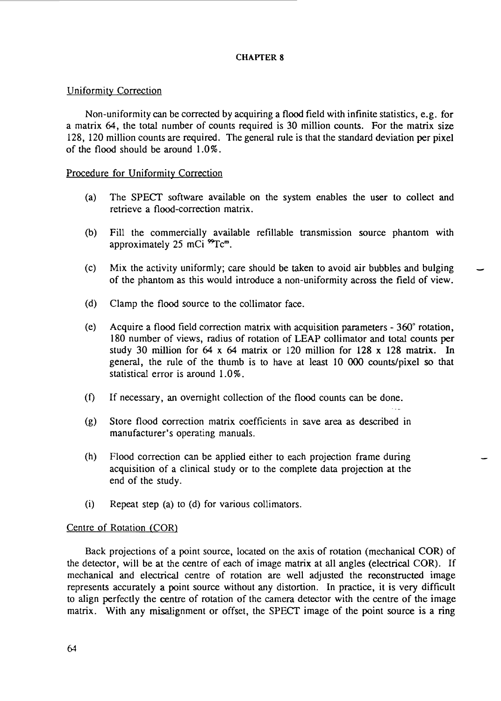# Uniformity Correction

Non-uniformity can be corrected by acquiring a flood field with infinite statistics, e.g. for a matrix 64, the total number of counts required is 30 million counts. For the matrix size 128, 120 million counts are required. The general rule is that the standard deviation per pixel of the flood should be around 1.0%.

# Procedure for Uniformity Correction

- (a) The SPECT software available on the system enables the user to collect and retrieve a flood-correction matrix.
- (b) Fill the commercially available refillable transmission source phantom with approximately  $25$  mCi  ${}^{99}Tc<sup>m</sup>$ .
- (c) Mix the activity uniformly; care should be taken to avoid air bubbles and bulging of the phantom as this would introduce a non-uniformity across the field of view.
- (d) Clamp the flood source to the collimator face.
- (e) Acquire a flood field correction matrix with acquisition parameters 360° rotation, 180 number of views, radius of rotation of LEAP collimator and total counts per study 30 million for 64 x 64 matrix or 120 million for 128 x 128 matrix. In general, the rule of the thumb is to have at least 10 000 counts/pixel so that statistical error is around 1.0%.
- (f) If necessary, an overnight collection of the flood counts can be done.
- (g) Store flood correction matrix coefficients in save area as described in manufacturer's operating manuals.
- (h) Flood correction can be applied either to each projection frame during acquisition of a clinical study or to the complete data projection at the end of the study.
- (i) Repeat step (a) to (d) for various collimators.

# Centre of Rotation (COR)

Back projections of a point source, located on the axis of rotation (mechanical COR) of the detector, will be at the centre of each of image matrix at all angles (electrical COR). If mechanical and electrical centre of rotation are well adjusted the reconstructed image represents accurately a point source without any distortion. In practice, it is very difficult to align perfectly the centre of rotation of the camera detector with the centre of the image matrix. With any misalignment or offset, the SPECT image of the point source is a ring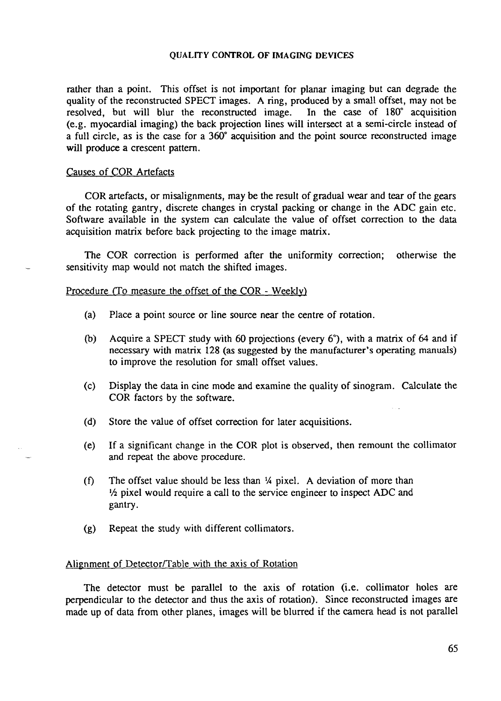rather than a point. This offset is not important for planar imaging but can degrade the quality of the reconstructed SPECT images. A ring, produced by a small offset, may not be resolved, but will blur the reconstructed image. In the case of 180° acquisition resolved, but will blur the reconstructed image. (e.g. myocardial imaging) the back projection lines will intersect at a semi-circle instead of a full circle, as is the case for a 360° acquisition and the point source reconstructed image will produce a crescent pattern.

# Causes of COR Artefacts

COR artefacts, or misalignments, may be the result of gradual wear and tear of the gears of the rotating gantry, discrete changes in crystal packing or change in the ADC gain etc. Software available in the system can calculate the value of offset correction to the data acquisition matrix before back projecting to the image matrix.

The COR correction is performed after the uniformity correction; otherwise the sensitivity map would not match the shifted images.

# Procedure (To measure the offset of the COR - Weekly)

- (a) Place a point source or line source near the centre of rotation.
- (b) Acquire a SPECT study with 60 projections (every 6°), with a matrix of 64 and if necessary with matrix 128 (as suggested by the manufacturer's operating manuals) to improve the resolution for small offset values.
- (c) Display the data in cine mode and examine the quality of sinogram. Calculate the COR factors by the software.
- (d) Store the value of offset correction for later acquisitions.
- (e) If a significant change in the COR plot is observed, then remount the collimator and repeat the above procedure.
- (f) The offset value should be less than  $\frac{1}{4}$  pixel. A deviation of more than <sup>1</sup>/<sub>2</sub> pixel would require a call to the service engineer to inspect ADC and gantry.
- (g) Repeat the study with different collimators.

# Alignment of Detector/Table with the axis of Rotation

The detector must be parallel to the axis of rotation (i.e. collimator holes are perpendicular to the detector and thus the axis of rotation). Since reconstructed images are made up of data from other planes, images will be blurred if the camera head is not parallel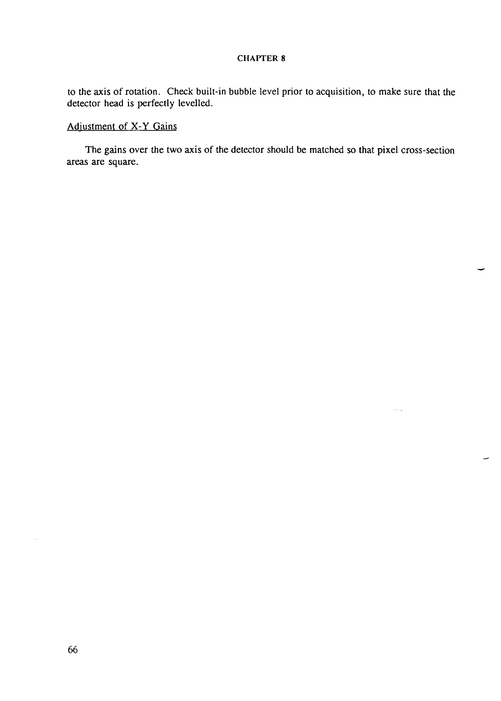to the axis of rotation. Check built-in bubble level prior to acquisition, to make sure that the detector head is perfectly levelled.

# Adjustment of X-Y Gains

The gains over the two axis of the detector should be matched so that pixel cross-section areas are square.

 $\tau$  ,  $\omega$ 

 $\sim$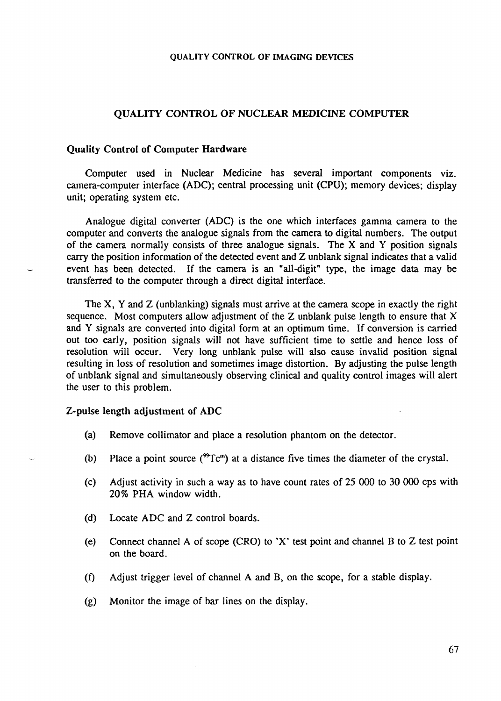# QUALITY CONTROL OF NUCLEAR MEDICINE COMPUTER

#### Quality Control of Computer Hardware

Computer used in Nuclear Medicine has several important components viz. camera-computer interface (ADC); central processing unit (CPU); memory devices; display unit; operating system etc.

Analogue digital converter (ADC) is the one which interfaces gamma camera to the computer and converts the analogue signals from the camera to digital numbers. The output of the camera normally consists of three analogue signals. The X and Y position signals carry the position information of the detected event and Z unblank signal indicates that a valid event has been detected. If the camera is an "all-digit" type, the image data may be transferred to the computer through a direct digital interface.

The X, Y and Z (unblanking) signals must arrive at the camera scope in exactly the right sequence. Most computers allow adjustment of the Z unblank pulse length to ensure that X and Y signals are converted into digital form at an optimum time. If conversion is carried out too early, position signals will not have sufficient time to settle and hence loss of resolution will occur. Very long unblank pulse will also cause invalid position signal resulting in loss of resolution and sometimes image distortion. By adjusting the pulse length of unblank signal and simultaneously observing clinical and quality control images will alert the user to this problem.

#### Z-pulse length adjustment of ADC

- (a) Remove collimator and place a resolution phantom on the detector.
- (b) Place a point source  $(^{\circ}Tc^m)$  at a distance five times the diameter of the crystal.
- (c) Adjust activity in such a way as to have count rates of 25 000 to 30 000 cps with 20% PHA window width.
- (d) Locate ADC and Z control boards.
- (e) Connect channel A of scope (CRO) to 'X' test point and channel B to Z test point on the board.
- (f) Adjust trigger level of channel A and B, on the scope, for a stable display.
- (g) Monitor the image of bar lines on the display.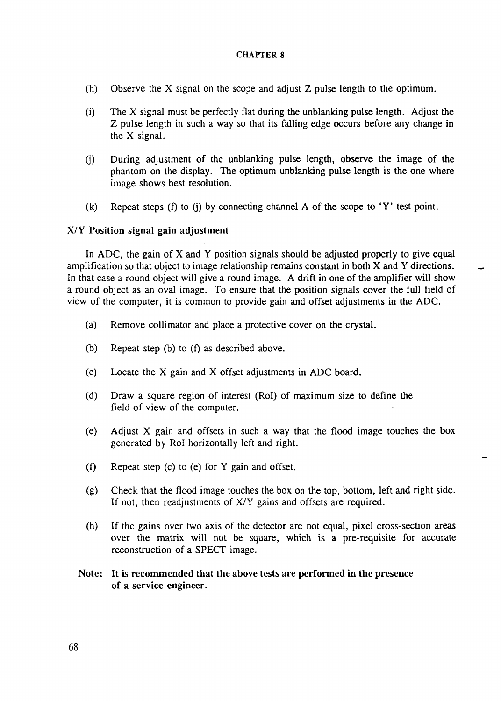- (h) Observe the X signal on the scope and adjust Z pulse length to the optimum.
- (i) The X signal must be perfectly flat during the unblanking pulse length. Adjust the Z pulse length in such a way so that its falling edge occurs before any change in the X signal.
- (j) During adjustment of the unblanking pulse length, observe the image of the phantom on the display. The optimum unblanking pulse length is the one where image shows best resolution.
- (k) Repeat steps (f) to (j) by connecting channel A of the scope to  $Y'$  test point.

# X/Y Position signal gain adjustment

In ADC, the gain of X and Y position signals should be adjusted properly to give equal amplification so that object to image relationship remains constant in both X and Y directions. In that case a round object will give a round image. A drift in one of the amplifier will show a round object as an oval image. To ensure that the position signals cover the full field of view of the computer, it is common to provide gain and offset adjustments in the ADC.

- (a) Remove collimator and place a protective cover on the crystal.
- (b) Repeat step (b) to (f) as described above.
- (c) Locate the X gain and X offset adjustments in ADC board.
- (d) Draw a square region of interest (Rol) of maximum size to define the field of view of the computer.
- (e) Adjust X gain and offsets in such a way that the flood image touches the box generated by Rol horizontally left and right.
- (f) Repeat step (c) to (e) for Y gain and offset.
- (g) Check that the flood image touches the box on the top, bottom, left and right side. If not, then readjustments of X/Y gains and offsets are required.
- (h) If the gains over two axis of the detector are not equal, pixel cross-section areas over the matrix will not be square, which is a pre-requisite for accurate reconstruction of a SPECT image.
- Note: It is recommended that the above tests are performed in the presence of a service engineer.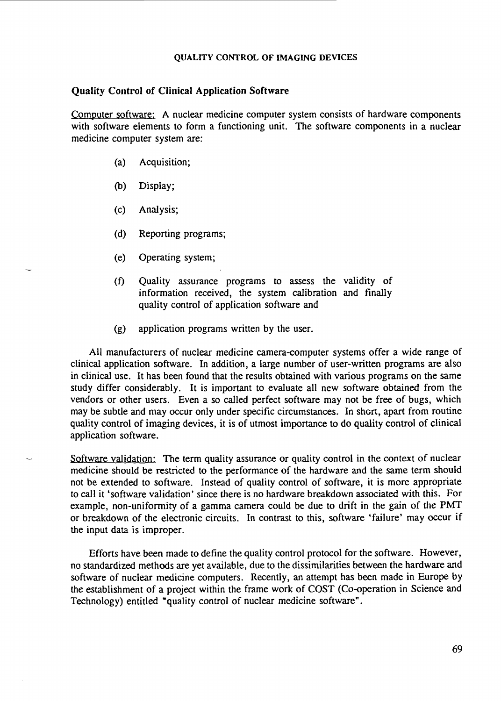# Quality Control of Clinical Application Software

Computer software: A nuclear medicine computer system consists of hardware components with software elements to form a functioning unit. The software components in a nuclear medicine computer system are:

- (a) Acquisition;
- (b) Display;
- (c) Analysis;
- (d) Reporting programs;
- (e) Operating system;
- (f) Quality assurance programs to assess the validity of information received, the system calibration and finally quality control of application software and
- (g) application programs written by the user.

All manufacturers of nuclear medicine camera-computer systems offer a wide range of clinical application software. In addition, a large number of user-written programs are also in clinical use. It has been found that the results obtained with various programs on the same study differ considerably. It is important to evaluate all new software obtained from the vendors or other users. Even a so called perfect software may not be free of bugs, which may be subtle and may occur only under specific circumstances. In short, apart from routine quality control of imaging devices, it is of utmost importance to do quality control of clinical application software.

Software validation: The term quality assurance or quality control in the context of nuclear medicine should be restricted to the performance of the hardware and the same term should not be extended to software. Instead of quality control of software, it is more appropriate to call it 'software validation' since there is no hardware breakdown associated with this. For example, non-uniformity of a gamma camera could be due to drift in the gain of the PMT or breakdown of the electronic circuits. In contrast to this, software 'failure' may occur if the input data is improper.

Efforts have been made to define the quality control protocol for the software. However, no standardized methods are yet available, due to the dissimilarities between the hardware and software of nuclear medicine computers. Recently, an attempt has been made in Europe by the establishment of a project within the frame work of COST (Co-operation in Science and Technology) entitled "quality control of nuclear medicine software".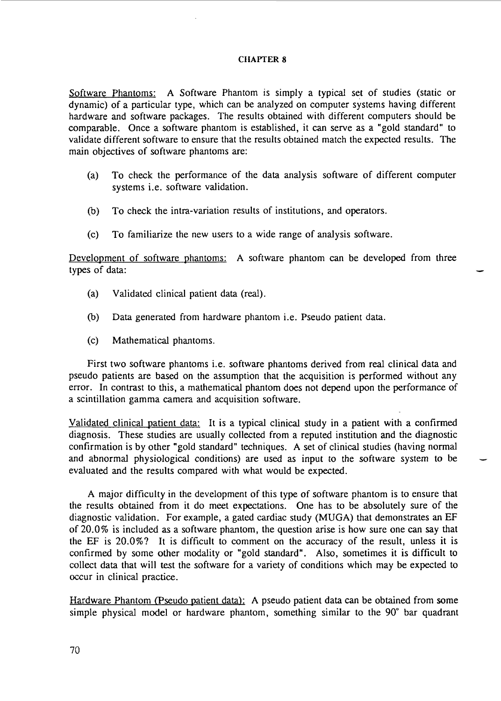Software Phantoms: A Software Phantom is simply a typical set of studies (static or dynamic) of a particular type, which can be analyzed on computer systems having different hardware and software packages. The results obtained with different computers should be comparable. Once a software phantom is established, it can serve as a "gold standard" to validate different software to ensure that the results obtained match the expected results. The main objectives of software phantoms are:

- (a) To check the performance of the data analysis software of different computer systems i.e. software validation.
- (b) To check the intra-variation results of institutions, and operators.
- (c) To familiarize the new users to a wide range of analysis software.

Development of software phantoms: A software phantom can be developed from three types of data:

- (a) Validated clinical patient data (real).
- (b) Data generated from hardware phantom i.e. Pseudo patient data.
- (c) Mathematical phantoms.

First two software phantoms i.e. software phantoms derived from real clinical data and pseudo patients are based on the assumption that the acquisition is performed without any error. In contrast to this, a mathematical phantom does not depend upon the performance of a scintillation gamma camera and acquisition software.

Validated clinical patient data: It is a typical clinical study in a patient with a confirmed diagnosis. These studies are usually collected from a reputed institution and the diagnostic confirmation is by other "gold standard" techniques. A set of clinical studies (having normal and abnormal physiological conditions) are used as input to the software system to be evaluated and the results compared with what would be expected.

A major difficulty in the development of this type of software phantom is to ensure that the results obtained from it do meet expectations. One has to be absolutely sure of the diagnostic validation. For example, a gated cardiac study (MUGA) that demonstrates an EF of 20.0% is included as a software phantom, the question arise is how sure one can say that the EF is 20.0%? It is difficult to comment on the accuracy of the result, unless it is confirmed by some other modality or "gold standard". Also, sometimes it is difficult to collect data that will test the software for a variety of conditions which may be expected to occur in clinical practice.

Hardware Phantom (Pseudo patient data): A pseudo patient data can be obtained from some simple physical model or hardware phantom, something similar to the 90° bar quadrant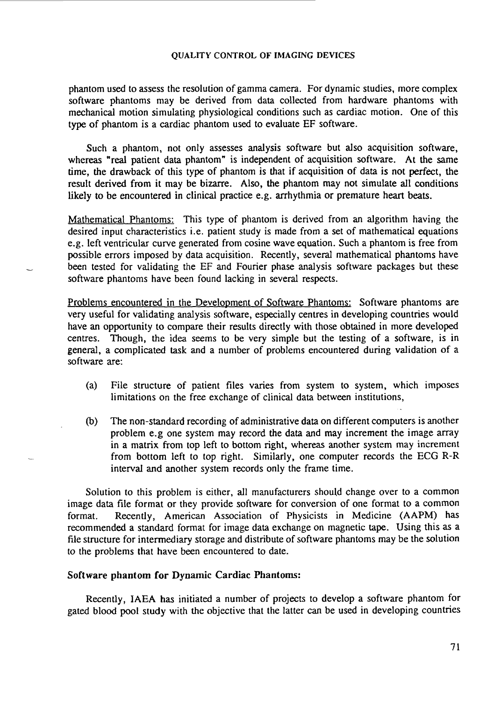phantom used to assess the resolution of gamma camera. For dynamic studies, more complex software phantoms may be derived from data collected from hardware phantoms with mechanical motion simulating physiological conditions such as cardiac motion. One of this type of phantom is a cardiac phantom used to evaluate EF software.

Such a phantom, not only assesses analysis software but also acquisition software, whereas "real patient data phantom" is independent of acquisition software. At the same time, the drawback of this type of phantom is that if acquisition of data is not perfect, the result derived from it may be bizarre. Also, the phantom may not simulate all conditions likely to be encountered in clinical practice e.g. arrhythmia or premature heart beats.

Mathematical Phantoms: This type of phantom is derived from an algorithm having the desired input characteristics i.e. patient study is made from a set of mathematical equations e.g. left ventricular curve generated from cosine wave equation. Such a phantom is free from possible errors imposed by data acquisition. Recently, several mathematical phantoms have been tested for validating the EF and Fourier phase analysis software packages but these software phantoms have been found lacking in several respects.

Problems encountered in the Development of Software Phantoms: Software phantoms are very useful for validating analysis software, especially centres in developing countries would have an opportunity to compare their results directly with those obtained in more developed centres. Though, the idea seems to be very simple but the testing of a software, is in general, a complicated task and a number of problems encountered during validation of a software are:

- (a) File structure of patient files varies from system to system, which imposes limitations on the free exchange of clinical data between institutions,
- (b) The non-standard recording of administrative data on different computers is another problem e.g one system may record the data and may increment the image array in a matrix from top left to bottom right, whereas another system may increment from bottom left to top right. Similarly, one computer records the ECG R-R interval and another system records only the frame time.

Solution to this problem is either, all manufacturers should change over to a common image data file format or they provide software for conversion of one format to a common format. Recently, American Association of Physicists in Medicine (AAPM) has recommended a standard format for image data exchange on magnetic tape. Using this as a file structure for intermediary storage and distribute of software phantoms may be the solution to the problems that have been encountered to date.

#### Software phantom **for** Dynamic Cardiac Phantoms:

Recently, IAEA has initiated a number of projects to develop a software phantom for gated blood pool study with the objective that the latter can be used in developing countries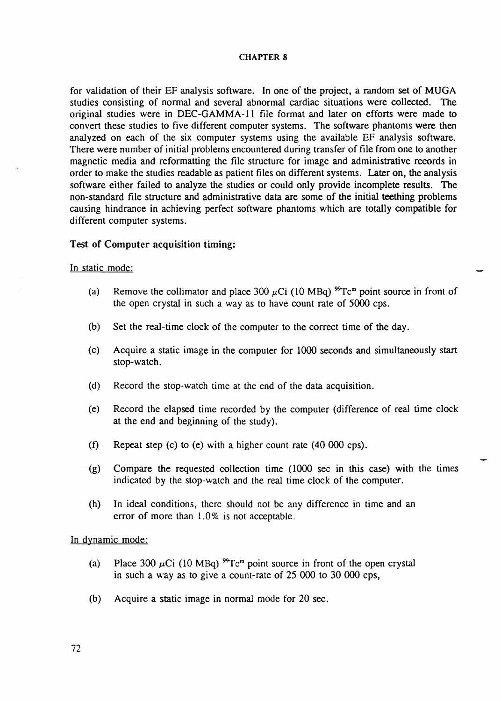for validation of their EF analysis software. In one of the project, a random set of MUGA studies consisting of normal and several abnormal cardiac situations were collected. The original studies were in DEC-GAMMA-11 file format and later on efforts were made to convert these studies to five different computer systems. The software phantoms were then analyzed on each of the six computer systems using the available EF analysis software. There were number of initial problems encountered during transfer of file from one to another magnetic media and reformatting the file structure for image and administrative records in order to make the studies readable as patient files on different systems. Later on, the analysis software either failed to analyze the studies or could only provide incomplete results. The non-standard file structure and administrative data are some of the initial teething problems causing hindrance in achieving perfect software phantoms which are totally compatible for different computer systems.

# Test of Computer acquisition timing:

# In static mode:

- (a) Remove the collimator and place 300  $\mu$ Ci (10 MBq) <sup>99</sup>Tc<sup>m</sup> point source in front of the open crystal in such a way as to have count rate of 5000 cps.
- (b) Set the real-time clock of the computer to the correct time of the day.
- (c) Acquire a static image in the computer for 1000 seconds and simultaneously start stop-watch.
- (d) Record the stop-watch time at the end of the data acquisition.
- (e) Record the elapsed time recorded by the computer (difference of real time clock at the end and beginning of the study).
- (f) Repeat step (c) to (e) with a higher count rate  $(40\ 000\ \text{cps})$ .
- (g) Compare the requested collection time (1000 sec in this case) with the times indicated by the stop-watch and the real time clock of the computer.
- (h) In ideal conditions, there should not be any difference in time and an error of more than 1.0% is not acceptable.

In dynamic mode:

- (a) Place 300  $\mu$ Ci (10 MBq)  $^{99}$ Tc<sup>m</sup> point source in front of the open crystal in such a way as to give a count-rate of 25 000 to 30 000 cps,
- (b) Acquire a static image in normal mode for 20 sec.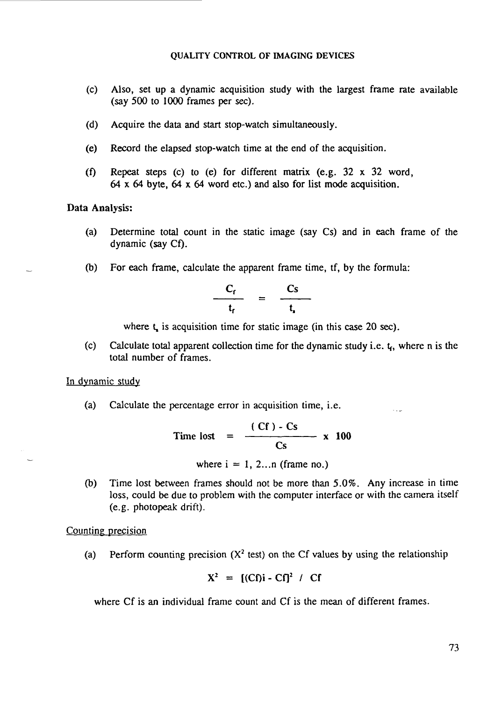- (c) Also, set up a dynamic acquisition study with the largest frame rate available (say 500 to 1000 frames per *sec).*
- (d) Acquire the data and start stop-watch simultaneously.
- (e) Record the elapsed stop-watch time at the end of the acquisition.
- (f) Repeat steps (c) to (e) for different matrix (e.g.  $32 \times 32$  word, 64 x 64 byte, 64 x 64 word etc.) and also for list mode acquisition.

### Data Analysis:

- (a) Determine total count in the static image (say Cs) and in each frame of the dynamic (say Cf).
- (b) For each frame, calculate the apparent frame time, tf, by the formula:

$$
\frac{C_f}{t_f} = \frac{Cs}{t_s}
$$

where  $t<sub>s</sub>$  is acquisition time for static image (in this case 20 sec).

(c) Calculate total apparent collection time for the dynamic study i.e.  $t_f$ , where n is the total number of frames.

# In dynamic study

(a) Calculate the percentage error in acquisition time, i.e.

$$
Time lost = \frac{(Cf) - Cs}{Cs} \times 100
$$

where  $i = 1, 2...n$  (frame no.)

(b) Time lost between frames should not be more than 5.0%. Any increase in time loss, could be due to problem with the computer interface or with the camera itself (e.g. photopeak drift).

### Counting precision

(a) Perform counting precision  $(X^2 \text{ test})$  on the Cf values by using the relationship

$$
X^2 = [ (Cf) i - Cf ]^2 / Cf
$$

where Cf is an individual frame count and Cf is the mean of different frames.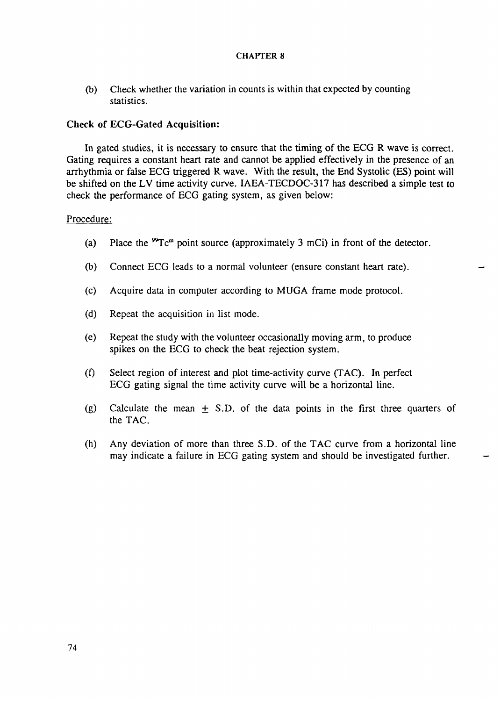(b) Check whether the variation in counts is within that expected by counting statistics.

# Check of ECG-Gated Acquisition:

In gated studies, it is necessary to ensure that the timing of the ECG R wave is correct. Gating requires a constant heart rate and cannot be applied effectively in the presence of an arrhythmia or false ECG triggered R wave. With the result, the End Systolic (ES) point will be shifted on the LV time activity curve. IAEA-TECDOC-317 has described a simple test to check the performance of ECG gating system, as given below:

# Procedure:

- (a) Place the  ${}^{99}Tc^m$  point source (approximately 3 mCi) in front of the detector.
- (b) Connect ECG leads to a normal volunteer (ensure constant heart rate).
- (c) Acquire data in computer according to MUGA frame mode protocol.
- (d) Repeat the acquisition in list mode.
- (e) Repeat the study with the volunteer occasionally moving arm, to produce spikes on the ECG to check the beat rejection system.
- (f) Select region of interest and plot time-activity curve (TAC). In perfect ECG gating signal the time activity curve will be a horizontal line.
- (g) Calculate the mean  $\pm$  S.D. of the data points in the first three quarters of the TAC.
- (h) Any deviation of more than three S.D. of the TAC curve from a horizontal line may indicate a failure in ECG gating system and should be investigated further.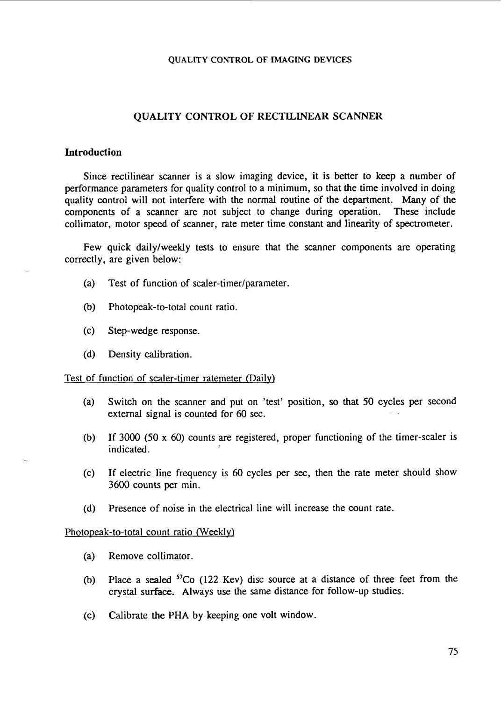# QUALITY CONTROL OF RECTILINEAR SCANNER

## **Introduction**

Since rectilinear scanner is a slow imaging device, it is better to keep a number of performance parameters for quality control to a minimum, so that the time involved in doing quality control will not interfere with the normal routine of the department. Many of the components of a scanner are not subject to change during operation. These include collimator, motor speed of scanner, rate meter time constant and linearity of spectrometer.

Few quick daily/weekly tests to ensure that the scanner components are operating correctly, are given below:

- (a) Test of function of scaler-timer/parameter.
- (b) Photopeak-to-total count ratio.
- (c) Step-wedge response.
- (d) Density calibration.

#### Test of function of scaler-timer ratemeter (Daily)

- (a) Switch on the scanner and put on 'test' position, so that 50 cycles per second external signal is counted for 60 sec.
- (b) If 3000 (50 x 60) counts are registered, proper functioning of the timer-sealer is indicated. '
- (c) If electric line frequency is 60 cycles per sec, then the rate meter should show 3600 counts per min.
- (d) Presence of noise in the electrical line will increase the count rate.

# Photopeak-to-total count ratio (Weekly)

- (a) Remove collimator.
- (b) Place a sealed  ${}^{57}Co$  (122 Kev) disc source at a distance of three feet from the crystal surface. Always use the same distance for follow-up studies.
- (c) Calibrate the PHA by keeping one volt window.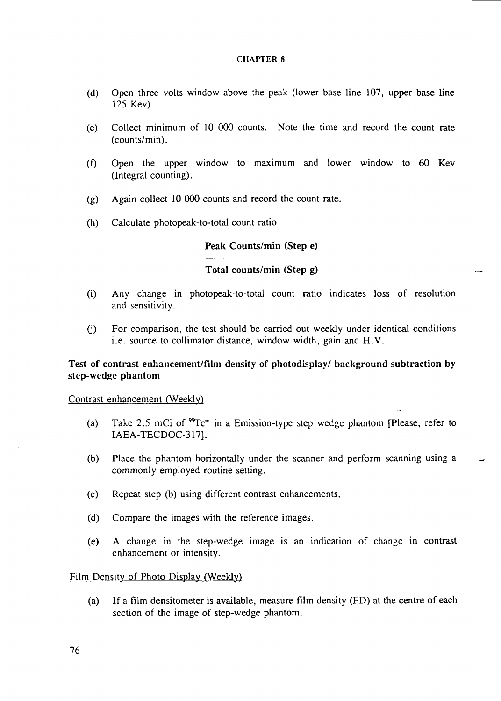- (d) Open three volts window above the peak (lower base line 107, upper base line 125 Kev).
- (e) Collect minimum of 10 000 counts. Note the time and record the count rate (counts/min).
- (f) Open the upper window to maximum and lower window to  $60$  Kev (Integral counting).
- (g) Again collect 10 000 counts and record the count rate,
- (h) Calculate photopeak-to-total count ratio

# Peak Counts/min (Step e)

# Total counts/min (Step g)

- (i) Any change in photopeak-to-total count ratio indicates loss of resolution and sensitivity.
- (j) For comparison, the test should be carried out weekly under identical conditions i.e. source to collimator distance, window width, gain and H.V.

# Test of contrast enhancement/film density of photodisplay/ background subtraction by step-wedge phantom

# Contrast enhancement (Weekly)

- (a) Take 2.5 mCi of  ${}^{\infty}$ Tc<sup>m</sup> in a Emission-type step wedge phantom [Please, refer to IAEA-TECDOC-317].
- (b) Place the phantom horizontally under the scanner and perform scanning using a commonly employed routine setting.
- (c) Repeat step (b) using different contrast enhancements.
- (d) Compare the images with the reference images.
- (e) A change in the step-wedge image is an indication of change in contrast enhancement or intensity.

# Film Density of Photo Display (Weekly)

(a) If a film densitometer is available, measure film density (FD) at the centre of each section of the image of step-wedge phantom.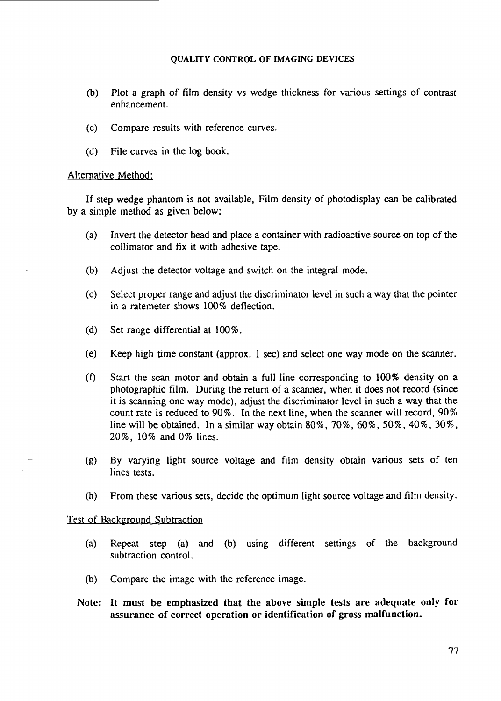- (b) Plot a graph of film density vs wedge thickness for various settings of contrast enhancement.
- (c) Compare results with reference curves.
- (d) File curves in the log book.

### Alternative Method:

If step-wedge phantom is not available, Film density of photodisplay can be calibrated by a simple method as given below:

- (a) Invert the detector head and place a container with radioactive source on top of the collimator and fix it with adhesive tape.
- (b) Adjust the detector voltage and switch on the integral mode.
- (c) Select proper range and adjust the discriminator level in such a way that the pointer in a ratemeter shows 100% deflection.
- (d) Set range differential at 100%.
- (e) Keep high time constant (approx. 1 sec) and select one way mode on the scanner.
- (f) Start the scan motor and obtain a full line corresponding to 100% density on a photographic film. During the return of a scanner, when it does not record (since it is scanning one way mode), adjust the discriminator level in such a way that the count rate is reduced to 90%. In the next line, when the scanner will record, 90% line will be obtained. In a similar way obtain 80%, 70%, 60%, 50%, 40%, 30%, 20%, 10% and0% lines.
- (g) By varying light source voltage and film density obtain various sets of ten lines tests.
- (h) From these various sets, decide the optimum light source voltage and film density.

# Test of Background Subtraction

- (a) Repeat step (a) and (b) using different settings of the background subtraction control.
- (b) Compare the image with the reference image.
- Note: It must be emphasized that the above simple tests are adequate only for assurance of correct operation or identification of gross malfunction.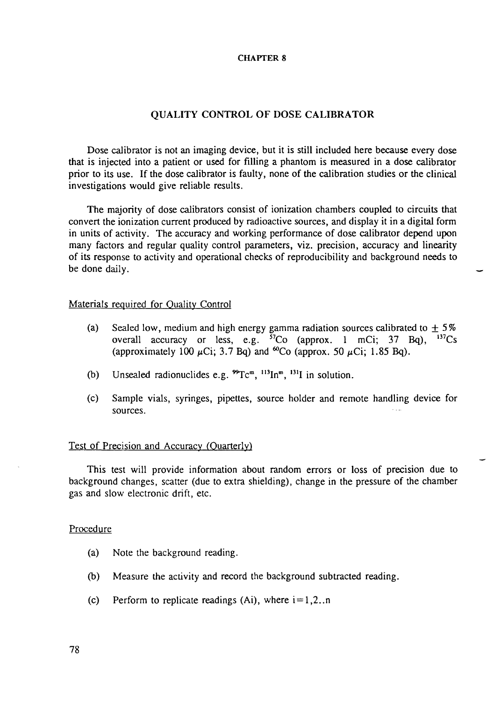# **QUALITY CONTROL OF DOSE CALIBRATOR**

Dose calibrator is not an imaging device, but it is still included here because every dose that is injected into a patient or used for filling a phantom is measured in a dose calibrator prior to its use. If the dose calibrator is faulty, none of the calibration studies or the clinical investigations would give reliable results.

The majority of dose calibrators consist of ionization chambers coupled to circuits that convert the ionization current produced by radioactive sources, and display it in a digital form in units of activity. The accuracy and working performance of dose calibrator depend upon many factors and regular quality control parameters, viz. precision, accuracy and linearity of its response to activity and operational checks of reproducibility and background needs to be done daily.

# Materials required for Quality Control

- (a) Sealed low, medium and high energy gamma radiation sources calibrated to  $\pm 5\%$ overall accuracy or less, e.g. <sup>57</sup>Co (approx. 1 mCi; 37 Bq), <sup>137</sup>Cs (approximately 100  $\mu$ Ci; 3.7 Bq) and <sup>60</sup>Co (approx. 50  $\mu$ Ci; 1.85 Bq).
- (b) Unsealed radionuclides e.g.  ${}^{99}Tc^m$ ,  ${}^{113}In^m$ ,  ${}^{131}I$  in solution.
- (c) Sample vials, syringes, pipettes, source holder and remote handling device for sources.

# Test of Precision and Accuracy (Quarterly)

This test will provide information about random errors or loss of precision due to background changes, scatter (due to extra shielding), change in the pressure of the chamber gas and slow electronic drift, etc.

#### Procedure

- (a) Note the background reading.
- (b) Measure the activity and record the background subtracted reading.
- (c) Perform to replicate readings (Ai), where  $i=1,2...n$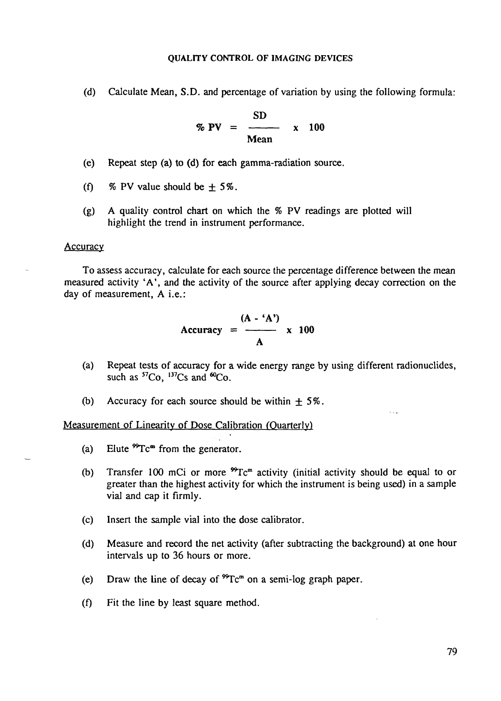(d) Calculate Mean, S.D. and percentage of variation by using the following formula:

$$
\% PV = \frac{SD}{Mean} \times 100
$$

- (e) Repeat step (a) to (d) **for** each gamma-radiation source.
- (f) % PV value should be  $\pm$  5%.
- (g) A quality control chart on which the % PV readings are plotted will highlight the trend in instrument performance.

#### **Accuracy**

To assess accuracy, calculate for each source the percentage difference between the mean measured activity 'A', and the activity of the source after applying decay correction on the day of measurement, A i.e.:

$$
Accuracy = \frac{(A - 'A')}{A} \times 100
$$

- (a) Repeat tests of accuracy for a wide energy range by using different radionuclides, such as  ${}^{57}Co$ ,  ${}^{137}Cs$  and  ${}^{60}Co$ .
- (b) Accuracy for each source should be within *±5%.*

Measurement of Linearity of Dose Calibration (Quarterly)

- (a) Elute  ${}^{99}Tc^{\omega}$  from the generator.
- (b) Transfer 100 mCi or more  ${}^{99}Tc^m$  activity (initial activity should be equal to or greater than the highest activity for which the instrument is being used) in a sample vial and cap it firmly.
- (c) Insert the sample vial into the dose calibrator.
- (d) Measure and record the net activity (after subtracting the background) at one hour intervals up to 36 hours or more.
- (e) Draw the line of decay of  ${}^{99}Tc^m$  on a semi-log graph paper.
- (f) Fit the line by least square method.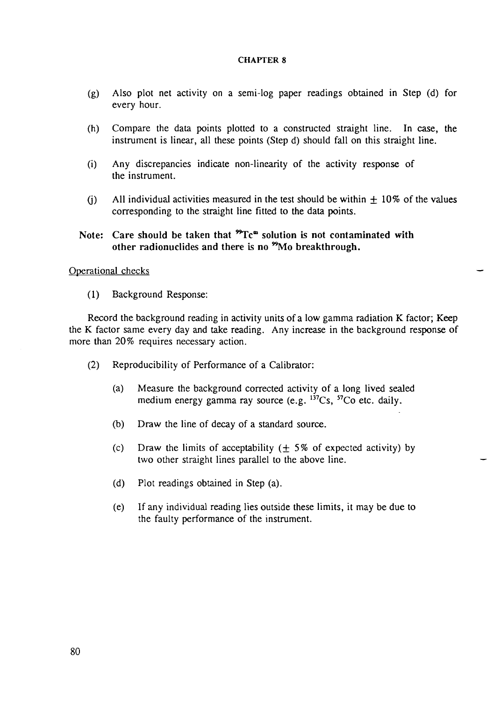- (g) Also plot net activity on a semi-log paper readings obtained in Step (d) for every hour.
- (h) Compare the data points plotted to a constructed straight line. In case, the instrument is linear, all these points (Step d) should fall on this straight line.
- (i) Any discrepancies indicate non-linearity of the activity response of the instrument.
- (i) All individual activities measured in the test should be within  $\pm$  10% of the values corresponding to the straight line fitted to the data points.
- Note: Care should be taken that  ${}^{99}Te^{m}$  solution is not contaminated with other radionuclides and there is no <sup>99</sup>Mo breakthrough.

### Operational checks

(1) Background Response:

Record the background reading in activity units of a low gamma radiation K factor; Keep the K factor same every day and take reading. Any increase in the background response of more than 20% requires necessary action.

- (2) Reproducibility of Performance of a Calibrator:
	- (a) Measure the background corrected activity of a long lived sealed medium energy gamma ray source (e.g. <sup>137</sup>Cs, <sup>57</sup>Co etc. daily.
	- (b) Draw the line of decay of a standard source.
	- (c) Draw the limits of acceptability  $( \pm 5\% )$  of expected activity) by two other straight lines parallel to the above line.
	- (d) Plot readings obtained in Step (a).
	- (e) If any individual reading lies outside these limits, it may be due to the faulty performance of the instrument.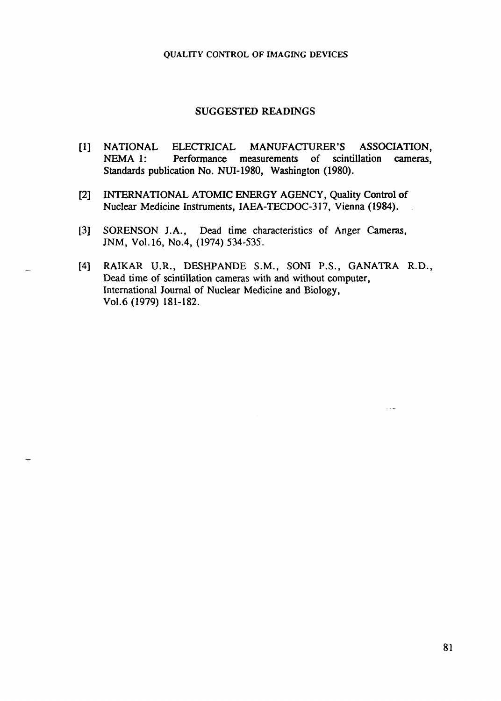# SUGGESTED READINGS

- [1] NATIONAL ELECTRICAL MANUFACTURER'S ASSOCIATION, NEMA 1: Performance measurements of scintillation cameras, Standards publication No. NUI-1980, Washington (1980).
- [2] INTERNATIONAL ATOMIC ENERGY AGENCY, Quality Control of Nuclear Medicine Instruments, IAEA-TECDOC-317, Vienna (1984). .
- [3] SORENSON J.A., Dead time characteristics of Anger Cameras, JNM, Vol.16, No.4, (1974) 534-535.
- [4] RAIKAR U.R., DESHPANDE S.M., SONI P.S., GANATRA R.D., Dead time of scintillation cameras with and without computer, International Journal of Nuclear Medicine and Biology, Vol.6 (1979) 181-182.

 $\sim 10$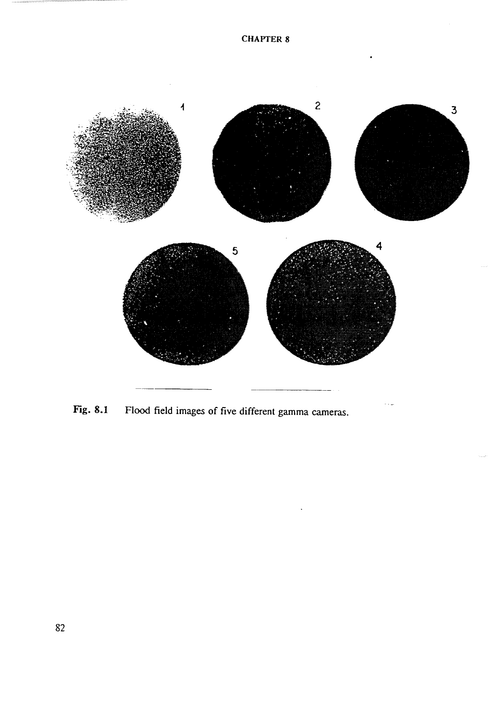

Fig. 8.1 Flood field images of five different gamma cameras.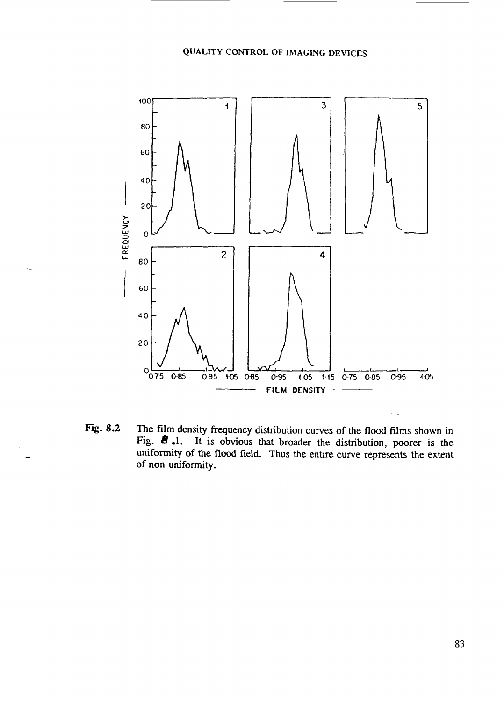

Fig. 8.2 The film density frequency distribution curves of the flood films shown in Fig. *8* .1. It is obvious that broader the distribution, poorer is the uniformity of the flood field. Thus the entire curve represents the extent of non-uniformity.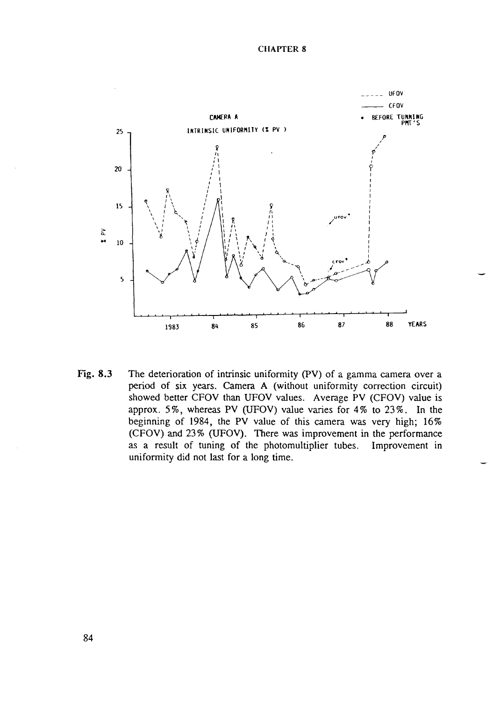

Fig. 8.3 The deterioration of intrinsic uniformity (PV) of a gamma camera over a period of six years. Camera A (without uniformity correction circuit) showed better CFOV than UFOV values. Average PV (CFOV) value is approx. 5%, whereas PV (UFOV) value varies for 4% to 23%. In the beginning of 1984, the PV value of this camera was very high; 16% (CFOV) and 23% (UFOV). There was improvement in the performance as a result of tuning of the photomultiplier tubes. Improvement in uniformity did not last for a long time.

84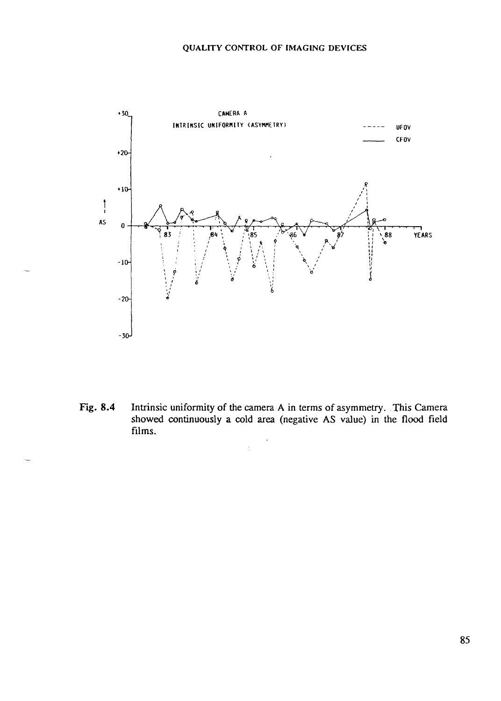

Fig. 8.4 Intrinsic uniformity of the camera A in terms of asymmetry. This Camera showed continuously a cold area (negative AS value) in the flood field films.

 $\ddot{\phantom{0}}$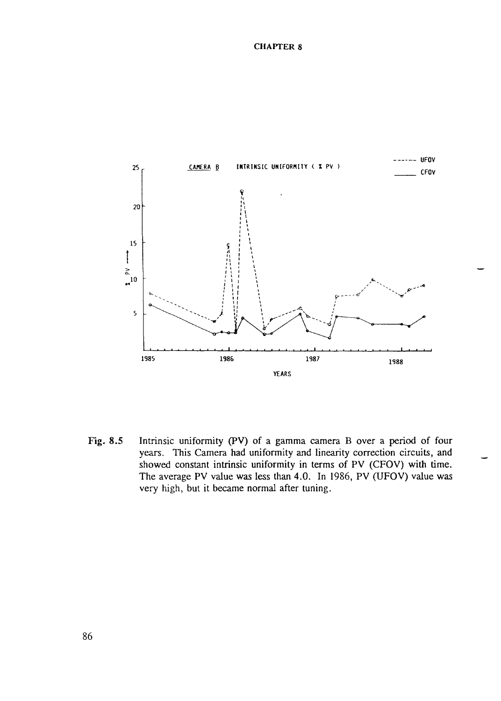

Fig. 8.5 Intrinsic uniformity (PV) of a gamma camera B over a period of four years. This Camera had uniformity and linearity correction circuits, and showed constant intrinsic uniformity in terms of PV (CFOV) with time. The average PV value was less than 4.0. In 1986, PV (UFOV) value was very high, but it became normal after tuning.